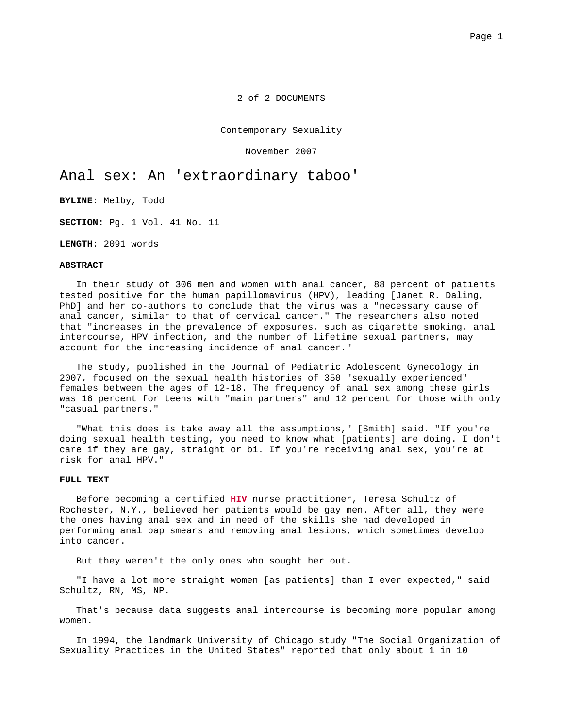2 of 2 DOCUMENTS

Contemporary Sexuality

November 2007

# Anal sex: An 'extraordinary taboo'

**BYLINE:** Melby, Todd

**SECTION:** Pg. 1 Vol. 41 No. 11

**LENGTH:** 2091 words

### **ABSTRACT**

In their study of 306 men and women with anal cancer, 88 percent of patients tested positive for the human papillomavirus (HPV), leading [Janet R. Daling, PhD] and her co-authors to conclude that the virus was a "necessary cause of anal cancer, similar to that of cervical cancer." The researchers also noted that "increases in the prevalence of exposures, such as cigarette smoking, anal intercourse, HPV infection, and the number of lifetime sexual partners, may account for the increasing incidence of anal cancer."

The study, published in the Journal of Pediatric Adolescent Gynecology in 2007, focused on the sexual health histories of 350 "sexually experienced" females between the ages of 12-18. The frequency of anal sex among these girls was 16 percent for teens with "main partners" and 12 percent for those with only "casual partners."

"What this does is take away all the assumptions," [Smith] said. "If you're doing sexual health testing, you need to know what [patients] are doing. I don't care if they are gay, straight or bi. If you're receiving anal sex, you're at risk for anal HPV."

## **FULL TEXT**

Before becoming a certified **HIV** nurse practitioner, Teresa Schultz of Rochester, N.Y., believed her patients would be gay men. After all, they were the ones having anal sex and in need of the skills she had developed in performing anal pap smears and removing anal lesions, which sometimes develop into cancer.

But they weren't the only ones who sought her out.

"I have a lot more straight women [as patients] than I ever expected," said Schultz, RN, MS, NP.

That's because data suggests anal intercourse is becoming more popular among women.

In 1994, the landmark University of Chicago study "The Social Organization of Sexuality Practices in the United States" reported that only about 1 in 10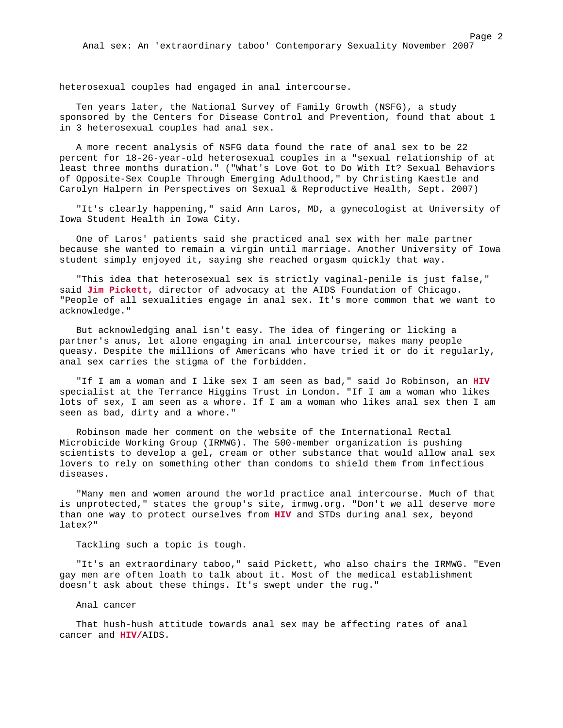heterosexual couples had engaged in anal intercourse.

Ten years later, the National Survey of Family Growth (NSFG), a study sponsored by the Centers for Disease Control and Prevention, found that about 1 in 3 heterosexual couples had anal sex.

A more recent analysis of NSFG data found the rate of anal sex to be 22 percent for 18-26-year-old heterosexual couples in a "sexual relationship of at least three months duration." ("What's Love Got to Do With It? Sexual Behaviors of Opposite-Sex Couple Through Emerging Adulthood," by Christing Kaestle and Carolyn Halpern in Perspectives on Sexual & Reproductive Health, Sept. 2007)

"It's clearly happening," said Ann Laros, MD, a gynecologist at University of Iowa Student Health in Iowa City.

One of Laros' patients said she practiced anal sex with her male partner because she wanted to remain a virgin until marriage. Another University of Iowa student simply enjoyed it, saying she reached orgasm quickly that way.

"This idea that heterosexual sex is strictly vaginal-penile is just false," said **Jim Pickett,** director of advocacy at the AIDS Foundation of Chicago. "People of all sexualities engage in anal sex. It's more common that we want to acknowledge."

But acknowledging anal isn't easy. The idea of fingering or licking a partner's anus, let alone engaging in anal intercourse, makes many people queasy. Despite the millions of Americans who have tried it or do it regularly, anal sex carries the stigma of the forbidden.

"If I am a woman and I like sex I am seen as bad," said Jo Robinson, an **HIV** specialist at the Terrance Higgins Trust in London. "If I am a woman who likes lots of sex, I am seen as a whore. If I am a woman who likes anal sex then I am seen as bad, dirty and a whore."

Robinson made her comment on the website of the International Rectal Microbicide Working Group (IRMWG). The 500-member organization is pushing scientists to develop a gel, cream or other substance that would allow anal sex lovers to rely on something other than condoms to shield them from infectious diseases.

"Many men and women around the world practice anal intercourse. Much of that is unprotected," states the group's site, irmwg.org. "Don't we all deserve more than one way to protect ourselves from **HIV** and STDs during anal sex, beyond latex?"

Tackling such a topic is tough.

"It's an extraordinary taboo," said Pickett, who also chairs the IRMWG. "Even gay men are often loath to talk about it. Most of the medical establishment doesn't ask about these things. It's swept under the rug."

Anal cancer

That hush-hush attitude towards anal sex may be affecting rates of anal cancer and **HIV/**AIDS.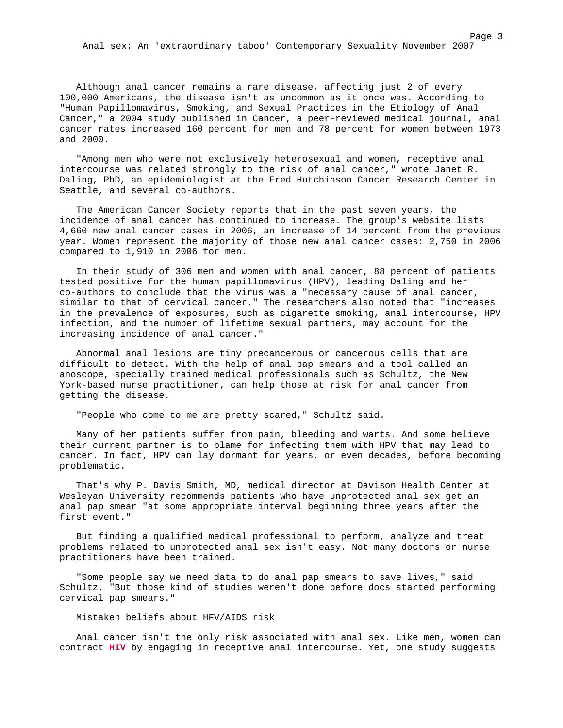Anal sex: An 'extraordinary taboo' Contemporary Sexuality November 2007

Although anal cancer remains a rare disease, affecting just 2 of every 100,000 Americans, the disease isn't as uncommon as it once was. According to "Human Papillomavirus, Smoking, and Sexual Practices in the Etiology of Anal Cancer," a 2004 study published in Cancer, a peer-reviewed medical journal, anal cancer rates increased 160 percent for men and 78 percent for women between 1973

"Among men who were not exclusively heterosexual and women, receptive anal intercourse was related strongly to the risk of anal cancer," wrote Janet R. Daling, PhD, an epidemiologist at the Fred Hutchinson Cancer Research Center in Seattle, and several co-authors.

The American Cancer Society reports that in the past seven years, the incidence of anal cancer has continued to increase. The group's website lists 4,660 new anal cancer cases in 2006, an increase of 14 percent from the previous year. Women represent the majority of those new anal cancer cases: 2,750 in 2006 compared to 1,910 in 2006 for men.

In their study of 306 men and women with anal cancer, 88 percent of patients tested positive for the human papillomavirus (HPV), leading Daling and her co-authors to conclude that the virus was a "necessary cause of anal cancer, similar to that of cervical cancer." The researchers also noted that "increases in the prevalence of exposures, such as cigarette smoking, anal intercourse, HPV infection, and the number of lifetime sexual partners, may account for the increasing incidence of anal cancer."

Abnormal anal lesions are tiny precancerous or cancerous cells that are difficult to detect. With the help of anal pap smears and a tool called an anoscope, specially trained medical professionals such as Schultz, the New York-based nurse practitioner, can help those at risk for anal cancer from getting the disease.

"People who come to me are pretty scared," Schultz said.

Many of her patients suffer from pain, bleeding and warts. And some believe their current partner is to blame for infecting them with HPV that may lead to cancer. In fact, HPV can lay dormant for years, or even decades, before becoming problematic.

That's why P. Davis Smith, MD, medical director at Davison Health Center at Wesleyan University recommends patients who have unprotected anal sex get an anal pap smear "at some appropriate interval beginning three years after the first event."

But finding a qualified medical professional to perform, analyze and treat problems related to unprotected anal sex isn't easy. Not many doctors or nurse practitioners have been trained.

"Some people say we need data to do anal pap smears to save lives," said Schultz. "But those kind of studies weren't done before docs started performing cervical pap smears."

### Mistaken beliefs about HFV/AIDS risk

and 2000.

Anal cancer isn't the only risk associated with anal sex. Like men, women can contract **HIV** by engaging in receptive anal intercourse. Yet, one study suggests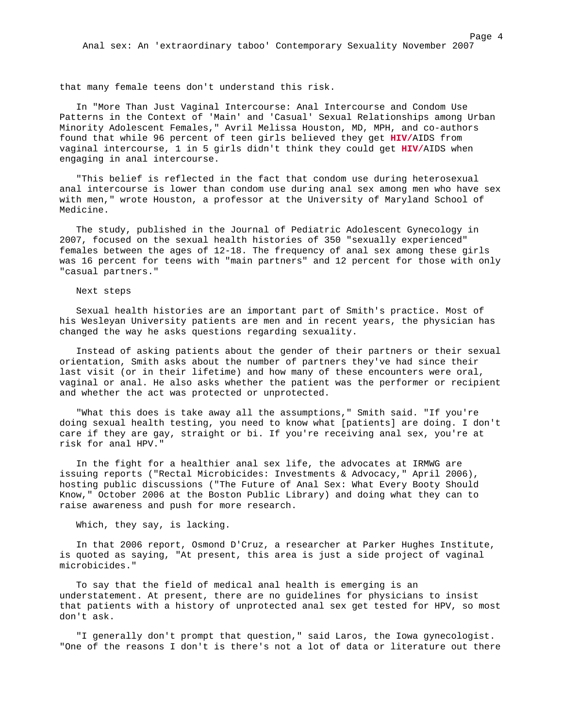that many female teens don't understand this risk.

In "More Than Just Vaginal Intercourse: Anal Intercourse and Condom Use Patterns in the Context of 'Main' and 'Casual' Sexual Relationships among Urban Minority Adolescent Females," Avril Melissa Houston, MD, MPH, and co-authors found that while 96 percent of teen girls believed they get **HIV/**AIDS from vaginal intercourse, 1 in 5 girls didn't think they could get **HIV/**AIDS when engaging in anal intercourse.

"This belief is reflected in the fact that condom use during heterosexual anal intercourse is lower than condom use during anal sex among men who have sex with men," wrote Houston, a professor at the University of Maryland School of Medicine.

The study, published in the Journal of Pediatric Adolescent Gynecology in 2007, focused on the sexual health histories of 350 "sexually experienced" females between the ages of 12-18. The frequency of anal sex among these girls was 16 percent for teens with "main partners" and 12 percent for those with only "casual partners."

#### Next steps

Sexual health histories are an important part of Smith's practice. Most of his Wesleyan University patients are men and in recent years, the physician has changed the way he asks questions regarding sexuality.

Instead of asking patients about the gender of their partners or their sexual orientation, Smith asks about the number of partners they've had since their last visit (or in their lifetime) and how many of these encounters were oral, vaginal or anal. He also asks whether the patient was the performer or recipient and whether the act was protected or unprotected.

"What this does is take away all the assumptions," Smith said. "If you're doing sexual health testing, you need to know what [patients] are doing. I don't care if they are gay, straight or bi. If you're receiving anal sex, you're at risk for anal HPV."

In the fight for a healthier anal sex life, the advocates at IRMWG are issuing reports ("Rectal Microbicides: Investments & Advocacy," April 2006), hosting public discussions ("The Future of Anal Sex: What Every Booty Should Know," October 2006 at the Boston Public Library) and doing what they can to raise awareness and push for more research.

#### Which, they say, is lacking.

In that 2006 report, Osmond D'Cruz, a researcher at Parker Hughes Institute, is quoted as saying, "At present, this area is just a side project of vaginal microbicides."

To say that the field of medical anal health is emerging is an understatement. At present, there are no guidelines for physicians to insist that patients with a history of unprotected anal sex get tested for HPV, so most don't ask.

"I generally don't prompt that question," said Laros, the Iowa gynecologist. "One of the reasons I don't is there's not a lot of data or literature out there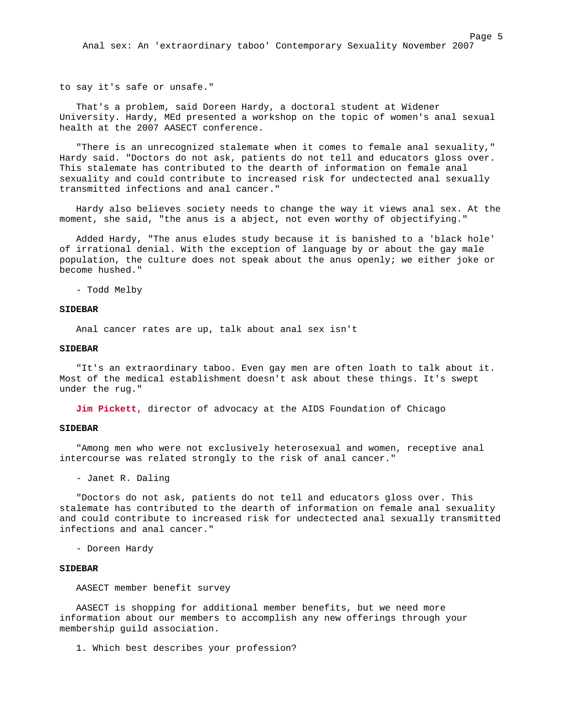Anal sex: An 'extraordinary taboo' Contemporary Sexuality November 2007

to say it's safe or unsafe."

That's a problem, said Doreen Hardy, a doctoral student at Widener University. Hardy, MEd presented a workshop on the topic of women's anal sexual health at the 2007 AASECT conference.

"There is an unrecognized stalemate when it comes to female anal sexuality," Hardy said. "Doctors do not ask, patients do not tell and educators gloss over. This stalemate has contributed to the dearth of information on female anal sexuality and could contribute to increased risk for undectected anal sexually transmitted infections and anal cancer."

Hardy also believes society needs to change the way it views anal sex. At the moment, she said, "the anus is a abject, not even worthy of objectifying."

Added Hardy, "The anus eludes study because it is banished to a 'black hole' of irrational denial. With the exception of language by or about the gay male population, the culture does not speak about the anus openly; we either joke or become hushed."

- Todd Melby

### **SIDEBAR**

Anal cancer rates are up, talk about anal sex isn't

### **SIDEBAR**

"It's an extraordinary taboo. Even gay men are often loath to talk about it. Most of the medical establishment doesn't ask about these things. It's swept under the rug."

**Jim Pickett,** director of advocacy at the AIDS Foundation of Chicago

#### **SIDEBAR**

"Among men who were not exclusively heterosexual and women, receptive anal intercourse was related strongly to the risk of anal cancer."

- Janet R. Daling

"Doctors do not ask, patients do not tell and educators gloss over. This stalemate has contributed to the dearth of information on female anal sexuality and could contribute to increased risk for undectected anal sexually transmitted infections and anal cancer."

- Doreen Hardy

#### **SIDEBAR**

AASECT member benefit survey

AASECT is shopping for additional member benefits, but we need more information about our members to accomplish any new offerings through your membership guild association.

1. Which best describes your profession?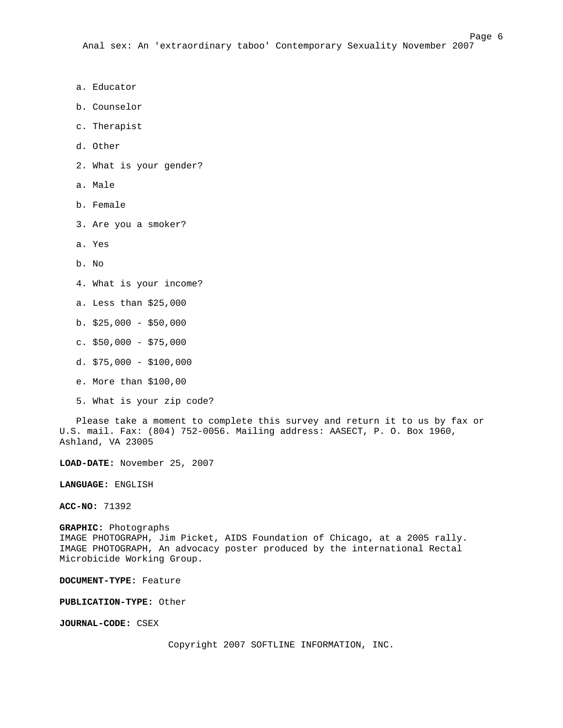Page 6

- a. Educator
- b. Counselor
- c. Therapist
- d. Other
- 2. What is your gender?
- a. Male
- b. Female
- 3. Are you a smoker?
- a. Yes
- b. No
- 4. What is your income?
- a. Less than \$25,000
- b.  $$25,000 $50,000$
- c. \$50,000 \$75,000
- d. \$75,000 \$100,000
- e. More than \$100,00
- 5. What is your zip code?

Please take a moment to complete this survey and return it to us by fax or U.S. mail. Fax: (804) 752-0056. Mailing address: AASECT, P. O. Box 1960, Ashland, VA 23005

**LOAD-DATE:** November 25, 2007

**LANGUAGE:** ENGLISH

**ACC-NO:** 71392

**GRAPHIC:** Photographs IMAGE PHOTOGRAPH, Jim Picket, AIDS Foundation of Chicago, at a 2005 rally. IMAGE PHOTOGRAPH, An advocacy poster produced by the international Rectal Microbicide Working Group.

**DOCUMENT-TYPE:** Feature

**PUBLICATION-TYPE:** Other

**JOURNAL-CODE:** CSEX

Copyright 2007 SOFTLINE INFORMATION, INC.